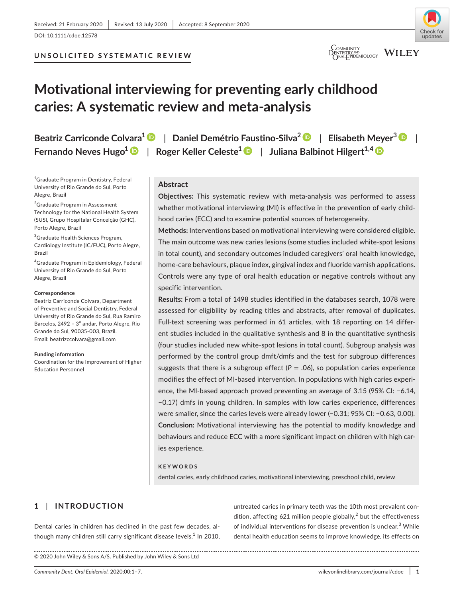## **UNSOLICITED SYSTEMATIC REVIEW**



## **COMMUNITY**<br>DENTISTRYAND WILEY

# **Motivational interviewing for preventing early childhood caries: A systematic review and meta-analysis**

| Beatriz Carriconde Colvara <sup>1</sup> D   Daniel Demétrio Faustino-Silva <sup>2</sup> D   Elisabeth Meyer <sup>3</sup> D |  |
|----------------------------------------------------------------------------------------------------------------------------|--|
| Fernando Neves Hugo <sup>1</sup> D   Roger Keller Celeste <sup>1</sup> D   Juliana Balbinot Hilgert <sup>1,4</sup> D       |  |

<sup>1</sup>Graduate Program in Dentistry, Federal University of Rio Grande do Sul, Porto Alegre, Brazil

<sup>2</sup>Graduate Program in Assessment Technology for the National Health System (SUS), Grupo Hospitalar Conceição (GHC), Porto Alegre, Brazil

<sup>3</sup>Graduate Health Sciences Program, Cardiology Institute (IC/FUC), Porto Alegre, Brazil

4 Graduate Program in Epidemiology, Federal University of Rio Grande do Sul, Porto Alegre, Brazil

#### **Correspondence**

Beatriz Carriconde Colvara, Department of Preventive and Social Dentistry, Federal University of Rio Grande do Sul, Rua Ramiro Barcelos, 2492 - 3º andar, Porto Alegre, Rio Grande do Sul, 90035-003, Brazil. Email: [beatrizccolvara@gmail.com](mailto:beatrizccolvara@gmail.com)

**Funding information**

Coordination for the Improvement of Higher Education Personnel

## **Abstract**

**Objectives:** This systematic review with meta-analysis was performed to assess whether motivational interviewing (MI) is effective in the prevention of early childhood caries (ECC) and to examine potential sources of heterogeneity.

**Methods:** Interventions based on motivational interviewing were considered eligible. The main outcome was new caries lesions (some studies included white-spot lesions in total count), and secondary outcomes included caregivers' oral health knowledge, home-care behaviours, plaque index, gingival index and fluoride varnish applications. Controls were any type of oral health education or negative controls without any specific intervention.

**Results:** From a total of 1498 studies identified in the databases search, 1078 were assessed for eligibility by reading titles and abstracts, after removal of duplicates. Full-text screening was performed in 61 articles, with 18 reporting on 14 different studies included in the qualitative synthesis and 8 in the quantitative synthesis (four studies included new white-spot lesions in total count). Subgroup analysis was performed by the control group dmft/dmfs and the test for subgroup differences suggests that there is a subgroup effect  $(P = .06)$ , so population caries experience modifies the effect of MI-based intervention. In populations with high caries experience, the MI-based approach proved preventing an average of 3.15 (95% CI: −6.14, −0.17) dmfs in young children. In samples with low caries experience, differences were smaller, since the caries levels were already lower (−0.31; 95% CI: −0.63, 0.00). **Conclusion:** Motivational interviewing has the potential to modify knowledge and behaviours and reduce ECC with a more significant impact on children with high caries experience.

#### **KEYWORDS**

dental caries, early childhood caries, motivational interviewing, preschool child, review

## **1** | **INTRODUCTION**

Dental caries in children has declined in the past few decades, although many children still carry significant disease levels. $^{\rm 1}$  In 2010, untreated caries in primary teeth was the 10th most prevalent condition, affecting 621 million people globally,<sup>2</sup> but the effectiveness of individual interventions for disease prevention is unclear.<sup>3</sup> While dental health education seems to improve knowledge, its effects on

© 2020 John Wiley & Sons A/S. Published by John Wiley & Sons Ltd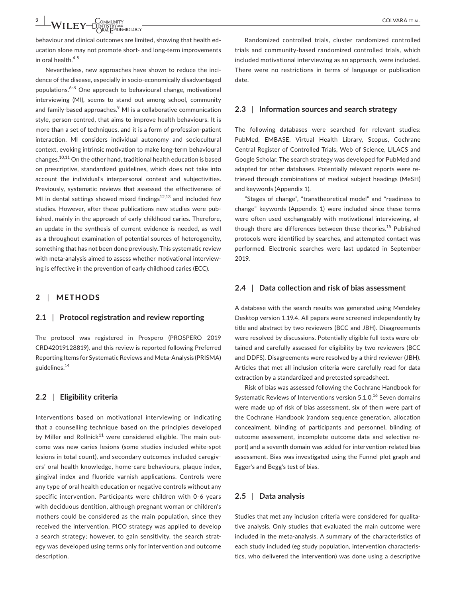$-\mathsf{WILEY}\substack{\mathsf{Commatrix}}_{\mathsf{PRTESTRY}^\mathsf{AP} \mathsf{QIC}}$ 

behaviour and clinical outcomes are limited, showing that health education alone may not promote short- and long-term improvements in oral health. $4,5$ 

Nevertheless, new approaches have shown to reduce the incidence of the disease, especially in socio-economically disadvantaged populations.6-8 One approach to behavioural change, motivational interviewing (MI), seems to stand out among school, community and family-based approaches.<sup>9</sup> MI is a collaborative communication style, person-centred, that aims to improve health behaviours. It is more than a set of techniques, and it is a form of profession-patient interaction. MI considers individual autonomy and sociocultural context, evoking intrinsic motivation to make long-term behavioural changes.10,11 On the other hand, traditional health education is based on prescriptive, standardized guidelines, which does not take into account the individual's interpersonal context and subjectivities. Previously, systematic reviews that assessed the effectiveness of MI in dental settings showed mixed findings $12,13$  and included few studies. However, after these publications new studies were published, mainly in the approach of early childhood caries. Therefore, an update in the synthesis of current evidence is needed, as well as a throughout examination of potential sources of heterogeneity, something that has not been done previously. This systematic review with meta-analysis aimed to assess whether motivational interviewing is effective in the prevention of early childhood caries (ECC).

#### **2** | **METHODS**

#### **2.1** | **Protocol registration and review reporting**

The protocol was registered in Prospero (PROSPERO 2019 CRD42019128819), and this review is reported following Preferred Reporting Items for Systematic Reviews and Meta-Analysis (PRISMA) guidelines.<sup>14</sup>

#### **2.2** | **Eligibility criteria**

Interventions based on motivational interviewing or indicating that a counselling technique based on the principles developed by Miller and Rollnick $11$  were considered eligible. The main outcome was new caries lesions (some studies included white-spot lesions in total count), and secondary outcomes included caregivers' oral health knowledge, home-care behaviours, plaque index, gingival index and fluoride varnish applications. Controls were any type of oral health education or negative controls without any specific intervention. Participants were children with 0-6 years with deciduous dentition, although pregnant woman or children's mothers could be considered as the main population, since they received the intervention. PICO strategy was applied to develop a search strategy; however, to gain sensitivity, the search strategy was developed using terms only for intervention and outcome description.

Randomized controlled trials, cluster randomized controlled trials and community-based randomized controlled trials, which included motivational interviewing as an approach, were included. There were no restrictions in terms of language or publication date.

#### **2.3** | **Information sources and search strategy**

The following databases were searched for relevant studies: PubMed, EMBASE, Virtual Health Library, Scopus, Cochrane Central Register of Controlled Trials, Web of Science, LILACS and Google Scholar. The search strategy was developed for PubMed and adapted for other databases. Potentially relevant reports were retrieved through combinations of medical subject headings (MeSH) and keywords (Appendix 1).

"Stages of change", "transtheoretical model" and "readiness to change" keywords (Appendix 1) were included since these terms were often used exchangeably with motivational interviewing, although there are differences between these theories.<sup>15</sup> Published protocols were identified by searches, and attempted contact was performed. Electronic searches were last updated in September 2019.

### **2.4** | **Data collection and risk of bias assessment**

A database with the search results was generated using Mendeley Desktop version 1.19.4. All papers were screened independently by title and abstract by two reviewers (BCC and JBH). Disagreements were resolved by discussions. Potentially eligible full texts were obtained and carefully assessed for eligibility by two reviewers (BCC and DDFS). Disagreements were resolved by a third reviewer (JBH). Articles that met all inclusion criteria were carefully read for data extraction by a standardized and pretested spreadsheet.

Risk of bias was assessed following the Cochrane Handbook for Systematic Reviews of Interventions version 5.1.0.<sup>16</sup> Seven domains were made up of risk of bias assessment, six of them were part of the Cochrane Handbook (random sequence generation, allocation concealment, blinding of participants and personnel, blinding of outcome assessment, incomplete outcome data and selective report) and a seventh domain was added for intervention-related bias assessment. Bias was investigated using the Funnel plot graph and Egger's and Begg's test of bias.

#### **2.5** | **Data analysis**

Studies that met any inclusion criteria were considered for qualitative analysis. Only studies that evaluated the main outcome were included in the meta-analysis. A summary of the characteristics of each study included (eg study population, intervention characteristics, who delivered the intervention) was done using a descriptive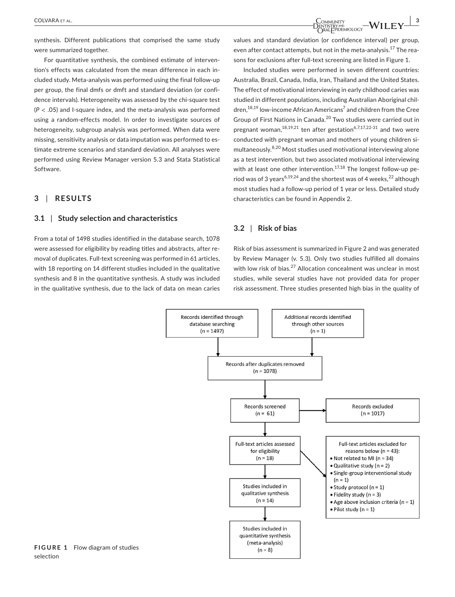synthesis. Different publications that comprised the same study were summarized together.

For quantitative synthesis, the combined estimate of intervention's effects was calculated from the mean difference in each included study. Meta-analysis was performed using the final follow-up per group, the final dmfs or dmft and standard deviation (or confidence intervals). Heterogeneity was assessed by the chi-square test  $(P < .05)$  and I-square index, and the meta-analysis was performed using a random-effects model. In order to investigate sources of heterogeneity, subgroup analysis was performed. When data were missing, sensitivity analysis or data imputation was performed to estimate extreme scenarios and standard deviation. All analyses were performed using Review Manager version 5.3 and Stata Statistical Software.

### **3** | **RESULTS**

#### **3.1** | **Study selection and characteristics**

From a total of 1498 studies identified in the database search, 1078 were assessed for eligibility by reading titles and abstracts, after removal of duplicates. Full-text screening was performed in 61 articles, with 18 reporting on 14 different studies included in the qualitative synthesis and 8 in the quantitative synthesis. A study was included in the qualitative synthesis, due to the lack of data on mean caries values and standard deviation (or confidence interval) per group, even after contact attempts, but not in the meta-analysis.<sup>17</sup> The reasons for exclusions after full-text screening are listed in Figure 1.

Included studies were performed in seven different countries: Australia, Brazil, Canada, India, Iran, Thailand and the United States. The effect of motivational interviewing in early childhood caries was studied in different populations, including Australian Aboriginal children,<sup>18,19</sup> low-income African Americans<sup>7</sup> and children from the Cree Group of First Nations in Canada.20 Two studies were carried out in pregnant woman, $^{18,19,21}$  ten after gestation<sup>6,7,17,22-31</sup> and two were conducted with pregnant woman and mothers of young children simultaneously.8,20 Most studies used motivational interviewing alone as a test intervention, but two associated motivational interviewing with at least one other intervention.<sup>17,18</sup> The longest follow-up period was of 3 years<sup>6,19,24</sup> and the shortest was of 4 weeks,  $22$  although most studies had a follow-up period of 1 year or less. Detailed study characteristics can be found in Appendix 2.

#### **3.2** | **Risk of bias**

Risk of bias assessment is summarized in Figure 2 and was generated by Review Manager (v. 5.3). Only two studies fulfilled all domains with low risk of bias.<sup>27</sup> Allocation concealment was unclear in most studies, while several studies have not provided data for proper risk assessment. Three studies presented high bias in the quality of



**FIGURE 1** Flow diagram of studies selection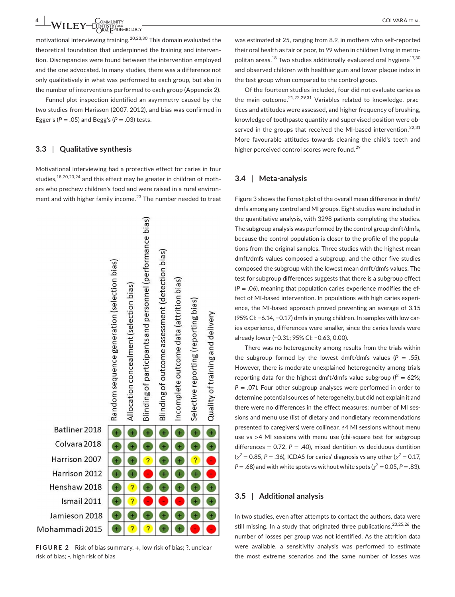$\text{WILEY} \text{—}\n \begin{array}{cc}\n \text{Commutity} & \text{COLVARA et al.} \\
\text{ORALFPIDEMIOLOGY}\n \end{array}$ 

motivational interviewing training.20,23,30 This domain evaluated the theoretical foundation that underpinned the training and intervention. Discrepancies were found between the intervention employed and the one advocated. In many studies, there was a difference not only qualitatively in what was performed to each group, but also in the number of interventions performed to each group (Appendix 2).

Funnel plot inspection identified an asymmetry caused by the two studies from Harisson (2007, 2012), and bias was confirmed in Egger's  $(P = .05)$  and Begg's  $(P = .03)$  tests.

#### **3.3** | **Qualitative synthesis**

Motivational interviewing had a protective effect for caries in four studies,18,20,23,24 and this effect may be greater in children of mothers who prechew children's food and were raised in a rural environment and with higher family income. $^{23}$  The number needed to treat



**FIGURE 2** Risk of bias summary. +, low risk of bias; ?, unclear risk of bias; -, high risk of bias

was estimated at 25, ranging from 8.9, in mothers who self-reported their oral health as fair or poor, to 99 when in children living in metropolitan areas.<sup>18</sup> Two studies additionally evaluated oral hygiene<sup>17,30</sup> and observed children with healthier gum and lower plaque index in the test group when compared to the control group.

Of the fourteen studies included, four did not evaluate caries as the main outcome.<sup>21,22,29,31</sup> Variables related to knowledge, practices and attitudes were assessed, and higher frequency of brushing, knowledge of toothpaste quantity and supervised position were observed in the groups that received the MI-based intervention.<sup>22,31</sup> More favourable attitudes towards cleaning the child's teeth and higher perceived control scores were found.<sup>29</sup>

#### **3.4** | **Meta-analysis**

Figure 3 shows the Forest plot of the overall mean difference in dmft/ dmfs among any control and MI groups. Eight studies were included in the quantitative analysis, with 3298 patients completing the studies. The subgroup analysis was performed by the control group dmft/dmfs, because the control population is closer to the profile of the populations from the original samples. Three studies with the highest mean dmft/dmfs values composed a subgroup, and the other five studies composed the subgroup with the lowest mean dmft/dmfs values. The test for subgroup differences suggests that there is a subgroup effect  $(P = .06)$ , meaning that population caries experience modifies the effect of MI-based intervention. In populations with high caries experience, the MI-based approach proved preventing an average of 3.15 (95% CI: −6.14, −0.17) dmfs in young children. In samples with low caries experience, differences were smaller, since the caries levels were already lower (−0.31; 95% CI: −0.63, 0.00).

There was no heterogeneity among results from the trials within the subgroup formed by the lowest dmft/dmfs values ( $P = .55$ ). However, there is moderate unexplained heterogeneity among trials reporting data for the highest dmft/dmfs value subgroup  $(I^2 = 62\%;$ *P* = .07). Four other subgroup analyses were performed in order to determine potential sources of heterogeneity, but did not explain it and there were no differences in the effect measures: number of MI sessions and menu use (list of dietary and nondietary recommendations presented to caregivers) were collinear, ≤4 MI sessions without menu use vs >4 MI sessions with menu use (chi-square test for subgroup differences =  $0.72$ ,  $P = .40$ ), mixed dentition vs deciduous dentition  $\left(\chi^2=0.85, P=.36\right)$ , ICDAS for caries' diagnosis vs any other  $\left(\chi^2=0.17, P.\right)$  $P = .68$ ) and with white spots vs without white spots ( $\chi^2 = 0.05$ ,  $P = .83$ ).

#### **3.5** | **Additional analysis**

In two studies, even after attempts to contact the authors, data were still missing. In a study that originated three publications,  $2^{3,25,26}$  the number of losses per group was not identified. As the attrition data were available, a sensitivity analysis was performed to estimate the most extreme scenarios and the same number of losses was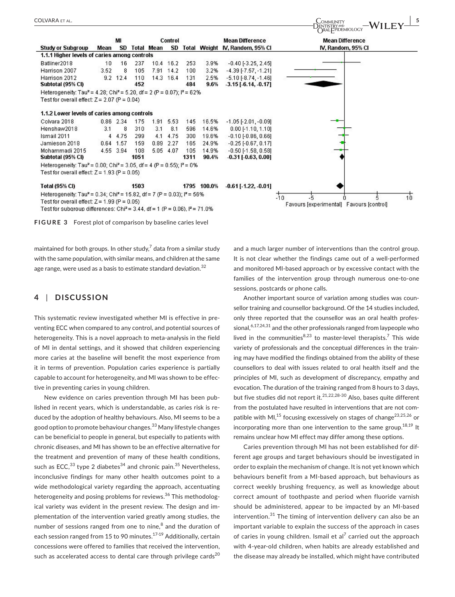

**FIGURE 3** Forest plot of comparison by baseline caries level

maintained for both groups. In other study, $7$  data from a similar study with the same population, with similar means, and children at the same age range, were used as a basis to estimate standard deviation.<sup>32</sup>

#### **4** | **DISCUSSION**

This systematic review investigated whether MI is effective in preventing ECC when compared to any control, and potential sources of heterogeneity. This is a novel approach to meta-analysis in the field of MI in dental settings, and it showed that children experiencing more caries at the baseline will benefit the most experience from it in terms of prevention. Population caries experience is partially capable to account for heterogeneity, and MI was shown to be effective in preventing caries in young children.

New evidence on caries prevention through MI has been published in recent years, which is understandable, as caries risk is reduced by the adoption of healthy behaviours. Also, MI seems to be a good option to promote behaviour changes.33 Many lifestyle changes can be beneficial to people in general, but especially to patients with chronic diseases, and MI has shown to be an effective alternative for the treatment and prevention of many of these health conditions, such as ECC, $^{33}$  type 2 diabetes $^{34}$  and chronic pain. $^{35}$  Nevertheless, inconclusive findings for many other health outcomes point to a wide methodological variety regarding the approach, accentuating heterogeneity and posing problems for reviews.<sup>36</sup> This methodological variety was evident in the present review. The design and implementation of the intervention varied greatly among studies, the number of sessions ranged from one to nine,<sup>8</sup> and the duration of each session ranged from 15 to 90 minutes.<sup>17-19</sup> Additionally, certain concessions were offered to families that received the intervention, such as accelerated access to dental care through privilege cards $^{20}$ 

and a much larger number of interventions than the control group. It is not clear whether the findings came out of a well-performed and monitored MI-based approach or by excessive contact with the families of the intervention group through numerous one-to-one sessions, postcards or phone calls.

Another important source of variation among studies was counsellor training and counsellor background. Of the 14 studies included, only three reported that the counsellor was an oral health professional,  $6,17,24,31$  and the other professionals ranged from laypeople who lived in the communities $^{8,23}$  to master-level therapists.<sup>7</sup> This wide variety of professionals and the conceptual differences in the training may have modified the findings obtained from the ability of these counsellors to deal with issues related to oral health itself and the principles of MI, such as development of discrepancy, empathy and evocation. The duration of the training ranged from 8 hours to 3 days, but five studies did not report it.<sup>21,22,28-30</sup> Also, bases quite different from the postulated have resulted in interventions that are not compatible with MI,<sup>15</sup> focusing excessively on stages of change<sup>23,25,26</sup> or incorporating more than one intervention to the same group.<sup>18,19</sup> It remains unclear how MI effect may differ among these options.

Caries prevention through MI has not been established for different age groups and target behaviours should be investigated in order to explain the mechanism of change. It is not yet known which behaviours benefit from a MI-based approach, but behaviours as correct weekly brushing frequency, as well as knowledge about correct amount of toothpaste and period when fluoride varnish should be administered, appear to be impacted by an MI-based intervention.31 The timing of intervention delivery can also be an important variable to explain the success of the approach in cases of caries in young children. Ismail et al $^7$  carried out the approach with 4-year-old children, when habits are already established and the disease may already be installed, which might have contributed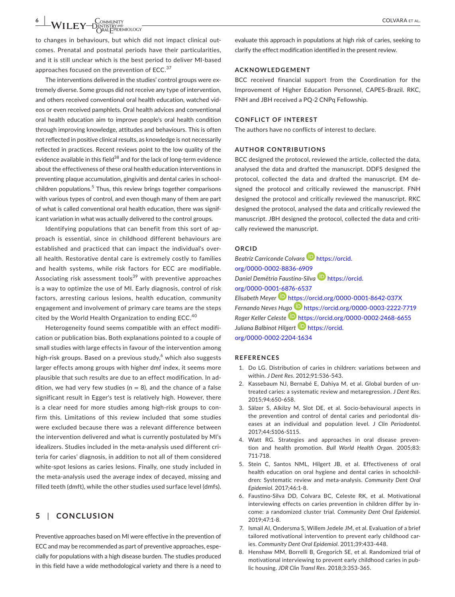# $-\mathsf{WILEY}$   $\underset{\text{ORALFPEEMOLOGY}}{\overset{\text{COMMUNITY}}{\sum}}$

to changes in behaviours, but which did not impact clinical outcomes. Prenatal and postnatal periods have their particularities, and it is still unclear which is the best period to deliver MI-based approaches focused on the prevention of ECC.<sup>37</sup>

The interventions delivered in the studies' control groups were extremely diverse. Some groups did not receive any type of intervention, and others received conventional oral health education, watched videos or even received pamphlets. Oral health advices and conventional oral health education aim to improve people's oral health condition through improving knowledge, attitudes and behaviours. This is often not reflected in positive clinical results, as knowledge is not necessarily reflected in practices. Recent reviews point to the low quality of the evidence available in this field $38$  and for the lack of long-term evidence about the effectiveness of these oral health education interventions in preventing plaque accumulation, gingivitis and dental caries in schoolchildren populations.<sup>5</sup> Thus, this review brings together comparisons with various types of control, and even though many of them are part of what is called conventional oral health education, there was significant variation in what was actually delivered to the control groups.

Identifying populations that can benefit from this sort of approach is essential, since in childhood different behaviours are established and practiced that can impact the individual's overall health. Restorative dental care is extremely costly to families and health systems, while risk factors for ECC are modifiable. Associating risk assessment tools $39$  with preventive approaches is a way to optimize the use of MI. Early diagnosis, control of risk factors, arresting carious lesions, health education, community engagement and involvement of primary care teams are the steps cited by the World Health Organization to ending ECC.<sup>40</sup>

Heterogeneity found seems compatible with an effect modification or publication bias. Both explanations pointed to a couple of small studies with large effects in favour of the intervention among high-risk groups. Based on a previous study, $^6$  which also suggests larger effects among groups with higher dmf index, it seems more plausible that such results are due to an effect modification. In addition, we had very few studies ( $n = 8$ ), and the chance of a false significant result in Egger's test is relatively high. However, there is a clear need for more studies among high-risk groups to confirm this. Limitations of this review included that some studies were excluded because there was a relevant difference between the intervention delivered and what is currently postulated by MI's idealizers. Studies included in the meta-analysis used different criteria for caries' diagnosis, in addition to not all of them considered white-spot lesions as caries lesions. Finally, one study included in the meta-analysis used the average index of decayed, missing and filled teeth (dmft), while the other studies used surface level (dmfs).

### **5** | **CONCLUSION**

Preventive approaches based on MI were effective in the prevention of ECC and may be recommended as part of preventive approaches, especially for populations with a high disease burden. The studies produced in this field have a wide methodological variety and there is a need to

evaluate this approach in populations at high risk of caries, seeking to clarify the effect modification identified in the present review.

### **ACKNOWLEDGEMENT**

BCC received financial support from the Coordination for the Improvement of Higher Education Personnel, CAPES-Brazil. RKC, FNH and JBH received a PQ-2 CNPq Fellowship.

#### **CONFLICT OF INTEREST**

The authors have no conflicts of interest to declare.

#### **AUTHOR CONTRIBUTIONS**

BCC designed the protocol, reviewed the article, collected the data, analysed the data and drafted the manuscript. DDFS designed the protocol, collected the data and drafted the manuscript. EM designed the protocol and critically reviewed the manuscript. FNH designed the protocol and critically reviewed the manuscript. RKC designed the protocol, analysed the data and critically reviewed the manuscript. JBH designed the protocol, collected the data and critically reviewed the manuscript.

#### **ORCID**

**Beatriz Carriconde Colvara D** [https://orcid.](https://orcid.org/0000-0002-8836-6909) [org/0000-0002-8836-6909](https://orcid.org/0000-0002-8836-6909) *Daniel Demétrio Faustino-Silva* [https://orcid.](https://orcid.org/0000-0001-6876-6537) [org/0000-0001-6876-6537](https://orcid.org/0000-0001-6876-6537) *Elisabeth Meyer* <https://orcid.org/0000-0001-8642-037X> *Fernando Neves Hu[go](https://orcid.org/0000-0002-2468-6655)* <https://orcid.org/0000-0003-2222-7719> *Roger Keller Celeste* <https://orcid.org/0000-0002-2468-6655> *Juliana Balbinot Hilgert* [https://orcid.](https://orcid.org/0000-0002-2204-1634) [org/0000-0002-2204-1634](https://orcid.org/0000-0002-2204-1634)

#### **REFERENCES**

- 1. Do LG. Distribution of caries in children: variations between and within. *J Dent Res*. 2012;91:536-543.
- 2. Kassebaum NJ, Bernabé E, Dahiya M, et al. Global burden of untreated caries: a systematic review and metaregression. *J Dent Res*. 2015;94:650-658.
- 3. Sälzer S, Alkilzy M, Slot DE, et al. Socio-behavioural aspects in the prevention and control of dental caries and periodontal diseases at an individual and population level. *J Clin Periodontol*. 2017;44:S106-S115.
- 4. Watt RG. Strategies and approaches in oral disease prevention and health promotion. *Bull World Health Organ*. 2005;83: 711-718.
- 5. Stein C, Santos NML, Hilgert JB, et al. Effectiveness of oral health education on oral hygiene and dental caries in schoolchildren: Systematic review and meta-analysis. *Community Dent Oral Epidemiol*. 2017;46:1-8.
- 6. Faustino-Silva DD, Colvara BC, Celeste RK, et al. Motivational interviewing effects on caries prevention in children differ by income: a randomized cluster trial. *Community Dent Oral Epidemiol*. 2019;47:1-8.
- 7. Ismail AI, Ondersma S, Willem Jedele JM, et al. Evaluation of a brief tailored motivational intervention to prevent early childhood caries. *Community Dent Oral Epidemiol*. 2011;39:433-448.
- 8. Henshaw MM, Borrelli B, Gregorich SE, et al. Randomized trial of motivational interviewing to prevent early childhood caries in public housing. *JDR Clin Transl Res*. 2018;3:353-365.